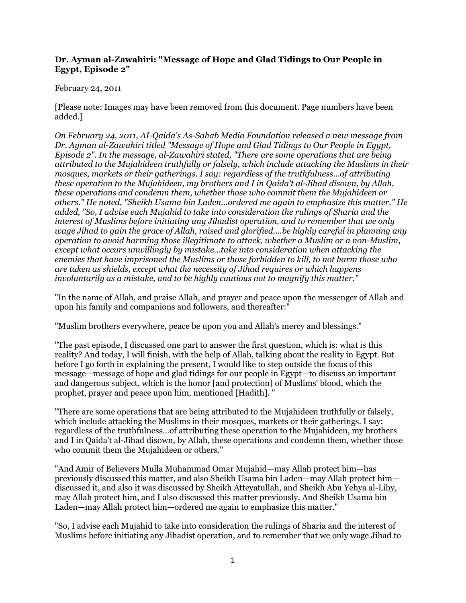#### **Dr. Ayman al-Zawahiri: "Message of Hope and Glad Tidings to Our People in Egypt, Episode 2"**

#### February 24, 2011

[Please note: Images may have been removed from this document. Page numbers have been added.]

*On February 24, 2011, AI-Qaida's As-Sahab Media Foundation released a new message from Dr. Ayman al-Zawahiri titled "Message of Hope and Glad Tidings to Our People in Egypt, Episode 2". In the message, al-Zawahiri stated, "There are some operations that are being attributed to the Mujahideen truthfully or falsely, which include attacking the Muslims in their mosques, markets or their gatherings. I say: regardless of the truthfulness...of attributing these operation to the Mujahideen, my brothers and I in Qaida't al-Jihad disown, by Allah, these operations and condemn them, whether those who commit them the Mujahideen or others." He noted, "Sheikh Usama bin Laden...ordered me again to emphasize this matter." He added, "So, I advise each Mujahid to take into consideration the rulings of Sharia and the interest of Muslims before initiating any Jihadist operation, and to remember that we only wage Jihad to gain the grace of Allah, raised and glorified....be highly careful in planning any operation to avoid harming those illegitimate to attack, whether a Muslim or a non-Muslim, except what occurs unwillingly by mistake...take into consideration when attacking the enemies that have imprisoned the Muslims or those forbidden to kill, to not harm those who are taken as shields, except what the necessity of Jihad requires or which happens involuntarily as a mistake, and to be highly cautious not to magnify this matter."*

"In the name of Allah, and praise Allah, and prayer and peace upon the messenger of Allah and upon his family and companions and followers, and thereafter:"

"Muslim brothers everywhere, peace be upon you and Allah's mercy and blessings."

"The past episode, I discussed one part to answer the first question, which is: what is this reality? And today, I will finish, with the help of Allah, talking about the reality in Egypt. But before I go forth in explaining the present, I would like to step outside the focus of this message—message of hope and glad tidings for our people in Egypt—to discuss an important and dangerous subject, which is the honor [and protection] of Muslims' blood, which the prophet, prayer and peace upon him, mentioned [Hadith]. "

"There are some operations that are being attributed to the Mujahideen truthfully or falsely, which include attacking the Muslims in their mosques, markets or their gatherings. I say: regardless of the truthfulness...of attributing these operation to the Mujahideen, my brothers and I in Qaida't al-Jihad disown, by Allah, these operations and condemn them, whether those who commit them the Mujahideen or others."

"And Amir of Believers Mulla Muhammad Omar Mujahid—may Allah protect him—has previously discussed this matter, and also Sheikh Usama bin Laden—may Allah protect him discussed it, and also it was discussed by Sheikh Atteyatullah, and Sheikh Abu Yehya al-Liby, may Allah protect him, and I also discussed this matter previously. And Sheikh Usama bin Laden—may Allah protect him—ordered me again to emphasize this matter."

"So, I advise each Mujahid to take into consideration the rulings of Sharia and the interest of Muslims before initiating any Jihadist operation, and to remember that we only wage Jihad to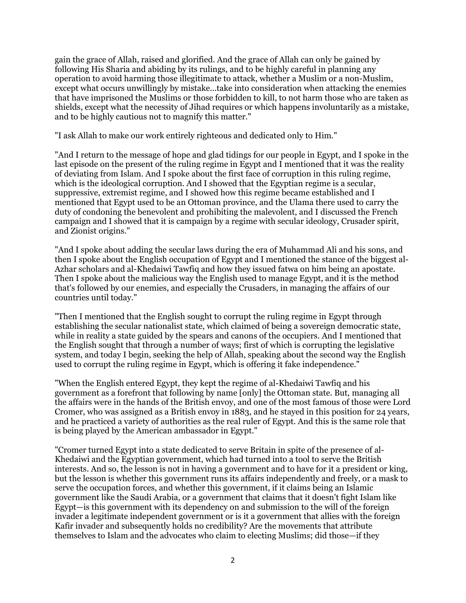gain the grace of Allah, raised and glorified. And the grace of Allah can only be gained by following His Sharia and abiding by its rulings, and to be highly careful in planning any operation to avoid harming those illegitimate to attack, whether a Muslim or a non-Muslim, except what occurs unwillingly by mistake...take into consideration when attacking the enemies that have imprisoned the Muslims or those forbidden to kill, to not harm those who are taken as shields, except what the necessity of Jihad requires or which happens involuntarily as a mistake, and to be highly cautious not to magnify this matter."

"I ask Allah to make our work entirely righteous and dedicated only to Him."

"And I return to the message of hope and glad tidings for our people in Egypt, and I spoke in the last episode on the present of the ruling regime in Egypt and I mentioned that it was the reality of deviating from Islam. And I spoke about the first face of corruption in this ruling regime, which is the ideological corruption. And I showed that the Egyptian regime is a secular, suppressive, extremist regime, and I showed how this regime became established and I mentioned that Egypt used to be an Ottoman province, and the Ulama there used to carry the duty of condoning the benevolent and prohibiting the malevolent, and I discussed the French campaign and I showed that it is campaign by a regime with secular ideology, Crusader spirit, and Zionist origins."

"And I spoke about adding the secular laws during the era of Muhammad Ali and his sons, and then I spoke about the English occupation of Egypt and I mentioned the stance of the biggest al-Azhar scholars and al-Khedaiwi Tawfiq and how they issued fatwa on him being an apostate. Then I spoke about the malicious way the English used to manage Egypt, and it is the method that's followed by our enemies, and especially the Crusaders, in managing the affairs of our countries until today."

"Then I mentioned that the English sought to corrupt the ruling regime in Egypt through establishing the secular nationalist state, which claimed of being a sovereign democratic state, while in reality a state guided by the spears and canons of the occupiers. And I mentioned that the English sought that through a number of ways; first of which is corrupting the legislative system, and today I begin, seeking the help of Allah, speaking about the second way the English used to corrupt the ruling regime in Egypt, which is offering it fake independence."

"When the English entered Egypt, they kept the regime of al-Khedaiwi Tawfiq and his government as a forefront that following by name [only] the Ottoman state. But, managing all the affairs were in the hands of the British envoy, and one of the most famous of those were Lord Cromer, who was assigned as a British envoy in 1883, and he stayed in this position for 24 years, and he practiced a variety of authorities as the real ruler of Egypt. And this is the same role that is being played by the American ambassador in Egypt."

"Cromer turned Egypt into a state dedicated to serve Britain in spite of the presence of al-Khedaiwi and the Egyptian government, which had turned into a tool to serve the British interests. And so, the lesson is not in having a government and to have for it a president or king, but the lesson is whether this government runs its affairs independently and freely, or a mask to serve the occupation forces, and whether this government, if it claims being an Islamic government like the Saudi Arabia, or a government that claims that it doesn't fight Islam like Egypt—is this government with its dependency on and submission to the will of the foreign invader a legitimate independent government or is it a government that allies with the foreign Kafir invader and subsequently holds no credibility? Are the movements that attribute themselves to Islam and the advocates who claim to electing Muslims; did those—if they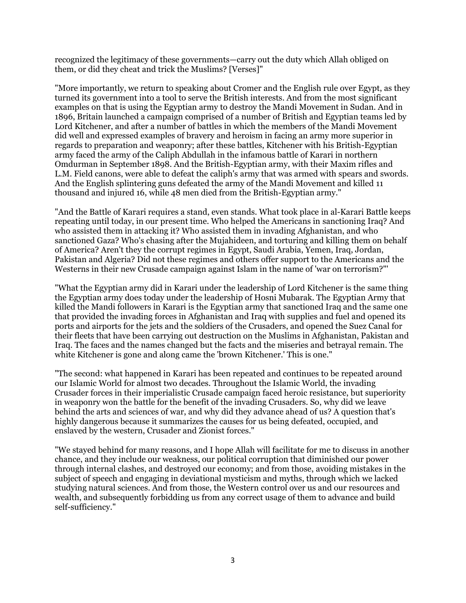recognized the legitimacy of these governments—carry out the duty which Allah obliged on them, or did they cheat and trick the Muslims? [Verses]"

"More importantly, we return to speaking about Cromer and the English rule over Egypt, as they turned its government into a tool to serve the British interests. And from the most significant examples on that is using the Egyptian army to destroy the Mandi Movement in Sudan. And in 1896, Britain launched a campaign comprised of a number of British and Egyptian teams led by Lord Kitchener, and after a number of battles in which the members of the Mandi Movement did well and expressed examples of bravery and heroism in facing an army more superior in regards to preparation and weaponry; after these battles, Kitchener with his British-Egyptian army faced the army of the Caliph Abdullah in the infamous battle of Karari in northern Omdurman in September 1898. And the British-Egyptian army, with their Maxim rifles and L.M. Field canons, were able to defeat the caliph's army that was armed with spears and swords. And the English splintering guns defeated the army of the Mandi Movement and killed 11 thousand and injured 16, while 48 men died from the British-Egyptian army."

"And the Battle of Karari requires a stand, even stands. What took place in al-Karari Battle keeps repeating until today, in our present time. Who helped the Americans in sanctioning Iraq? And who assisted them in attacking it? Who assisted them in invading Afghanistan, and who sanctioned Gaza? Who's chasing after the Mujahideen, and torturing and killing them on behalf of America? Aren't they the corrupt regimes in Egypt, Saudi Arabia, Yemen, Iraq, Jordan, Pakistan and Algeria? Did not these regimes and others offer support to the Americans and the Westerns in their new Crusade campaign against Islam in the name of 'war on terrorism?"'

"What the Egyptian army did in Karari under the leadership of Lord Kitchener is the same thing the Egyptian army does today under the leadership of Hosni Mubarak. The Egyptian Army that killed the Mandi followers in Karari is the Egyptian army that sanctioned Iraq and the same one that provided the invading forces in Afghanistan and Iraq with supplies and fuel and opened its ports and airports for the jets and the soldiers of the Crusaders, and opened the Suez Canal for their fleets that have been carrying out destruction on the Muslims in Afghanistan, Pakistan and Iraq. The faces and the names changed but the facts and the miseries and betrayal remain. The white Kitchener is gone and along came the 'brown Kitchener.' This is one."

"The second: what happened in Karari has been repeated and continues to be repeated around our Islamic World for almost two decades. Throughout the Islamic World, the invading Crusader forces in their imperialistic Crusade campaign faced heroic resistance, but superiority in weaponry won the battle for the benefit of the invading Crusaders. So, why did we leave behind the arts and sciences of war, and why did they advance ahead of us? A question that's highly dangerous because it summarizes the causes for us being defeated, occupied, and enslaved by the western, Crusader and Zionist forces."

"We stayed behind for many reasons, and I hope Allah will facilitate for me to discuss in another chance, and they include our weakness, our political corruption that diminished our power through internal clashes, and destroyed our economy; and from those, avoiding mistakes in the subject of speech and engaging in deviational mysticism and myths, through which we lacked studying natural sciences. And from those, the Western control over us and our resources and wealth, and subsequently forbidding us from any correct usage of them to advance and build self-sufficiency."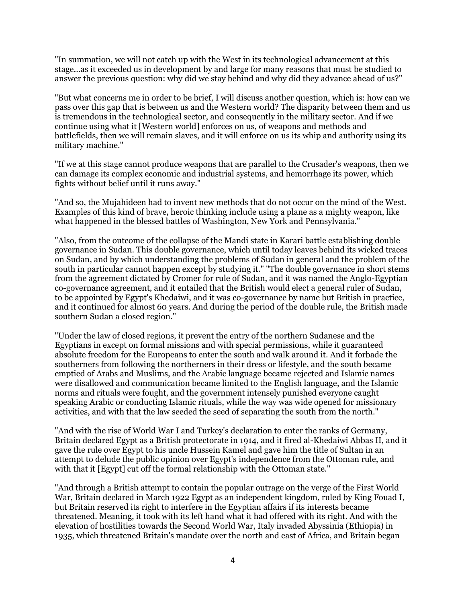"In summation, we will not catch up with the West in its technological advancement at this stage...as it exceeded us in development by and large for many reasons that must be studied to answer the previous question: why did we stay behind and why did they advance ahead of us?"

"But what concerns me in order to be brief, I will discuss another question, which is: how can we pass over this gap that is between us and the Western world? The disparity between them and us is tremendous in the technological sector, and consequently in the military sector. And if we continue using what it [Western world] enforces on us, of weapons and methods and battlefields, then we will remain slaves, and it will enforce on us its whip and authority using its military machine."

"If we at this stage cannot produce weapons that are parallel to the Crusader's weapons, then we can damage its complex economic and industrial systems, and hemorrhage its power, which fights without belief until it runs away."

"And so, the Mujahideen had to invent new methods that do not occur on the mind of the West. Examples of this kind of brave, heroic thinking include using a plane as a mighty weapon, like what happened in the blessed battles of Washington, New York and Pennsylvania."

"Also, from the outcome of the collapse of the Mandi state in Karari battle establishing double governance in Sudan. This double governance, which until today leaves behind its wicked traces on Sudan, and by which understanding the problems of Sudan in general and the problem of the south in particular cannot happen except by studying it." "The double governance in short stems from the agreement dictated by Cromer for rule of Sudan, and it was named the Anglo-Egyptian co-governance agreement, and it entailed that the British would elect a general ruler of Sudan, to be appointed by Egypt's Khedaiwi, and it was co-governance by name but British in practice, and it continued for almost 60 years. And during the period of the double rule, the British made southern Sudan a closed region."

"Under the law of closed regions, it prevent the entry of the northern Sudanese and the Egyptians in except on formal missions and with special permissions, while it guaranteed absolute freedom for the Europeans to enter the south and walk around it. And it forbade the southerners from following the northerners in their dress or lifestyle, and the south became emptied of Arabs and Muslims, and the Arabic language became rejected and Islamic names were disallowed and communication became limited to the English language, and the Islamic norms and rituals were fought, and the government intensely punished everyone caught speaking Arabic or conducting Islamic rituals, while the way was wide opened for missionary activities, and with that the law seeded the seed of separating the south from the north."

"And with the rise of World War I and Turkey's declaration to enter the ranks of Germany, Britain declared Egypt as a British protectorate in 1914, and it fired al-Khedaiwi Abbas II, and it gave the rule over Egypt to his uncle Hussein Kamel and gave him the title of Sultan in an attempt to delude the public opinion over Egypt's independence from the Ottoman rule, and with that it [Egypt] cut off the formal relationship with the Ottoman state."

"And through a British attempt to contain the popular outrage on the verge of the First World War, Britain declared in March 1922 Egypt as an independent kingdom, ruled by King Fouad I, but Britain reserved its right to interfere in the Egyptian affairs if its interests became threatened. Meaning, it took with its left hand what it had offered with its right. And with the elevation of hostilities towards the Second World War, Italy invaded Abyssinia (Ethiopia) in 1935, which threatened Britain's mandate over the north and east of Africa, and Britain began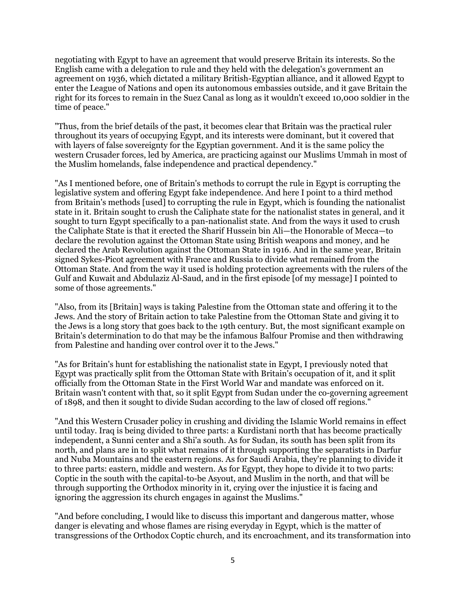negotiating with Egypt to have an agreement that would preserve Britain its interests. So the English came with a delegation to rule and they held with the delegation's government an agreement on 1936, which dictated a military British-Egyptian alliance, and it allowed Egypt to enter the League of Nations and open its autonomous embassies outside, and it gave Britain the right for its forces to remain in the Suez Canal as long as it wouldn't exceed 10,000 soldier in the time of peace."

"Thus, from the brief details of the past, it becomes clear that Britain was the practical ruler throughout its years of occupying Egypt, and its interests were dominant, but it covered that with layers of false sovereignty for the Egyptian government. And it is the same policy the western Crusader forces, led by America, are practicing against our Muslims Ummah in most of the Muslim homelands, false independence and practical dependency."

"As I mentioned before, one of Britain's methods to corrupt the rule in Egypt is corrupting the legislative system and offering Egypt fake independence. And here I point to a third method from Britain's methods [used] to corrupting the rule in Egypt, which is founding the nationalist state in it. Britain sought to crush the Caliphate state for the nationalist states in general, and it sought to turn Egypt specifically to a pan-nationalist state. And from the ways it used to crush the Caliphate State is that it erected the Sharif Hussein bin Ali—the Honorable of Mecca—to declare the revolution against the Ottoman State using British weapons and money, and he declared the Arab Revolution against the Ottoman State in 1916. And in the same year, Britain signed Sykes-Picot agreement with France and Russia to divide what remained from the Ottoman State. And from the way it used is holding protection agreements with the rulers of the Gulf and Kuwait and Abdulaziz Al-Saud, and in the first episode [of my message] I pointed to some of those agreements."

"Also, from its [Britain] ways is taking Palestine from the Ottoman state and offering it to the Jews. And the story of Britain action to take Palestine from the Ottoman State and giving it to the Jews is a long story that goes back to the 19th century. But, the most significant example on Britain's determination to do that may be the infamous Balfour Promise and then withdrawing from Palestine and handing over control over it to the Jews."

"As for Britain's hunt for establishing the nationalist state in Egypt, I previously noted that Egypt was practically split from the Ottoman State with Britain's occupation of it, and it split officially from the Ottoman State in the First World War and mandate was enforced on it. Britain wasn't content with that, so it split Egypt from Sudan under the co-governing agreement of 1898, and then it sought to divide Sudan according to the law of closed off regions."

"And this Western Crusader policy in crushing and dividing the Islamic World remains in effect until today. Iraq is being divided to three parts: a Kurdistani north that has become practically independent, a Sunni center and a Shi'a south. As for Sudan, its south has been split from its north, and plans are in to split what remains of it through supporting the separatists in Darfur and Nuba Mountains and the eastern regions. As for Saudi Arabia, they're planning to divide it to three parts: eastern, middle and western. As for Egypt, they hope to divide it to two parts: Coptic in the south with the capital-to-be Asyout, and Muslim in the north, and that will be through supporting the Orthodox minority in it, crying over the injustice it is facing and ignoring the aggression its church engages in against the Muslims."

"And before concluding, I would like to discuss this important and dangerous matter, whose danger is elevating and whose flames are rising everyday in Egypt, which is the matter of transgressions of the Orthodox Coptic church, and its encroachment, and its transformation into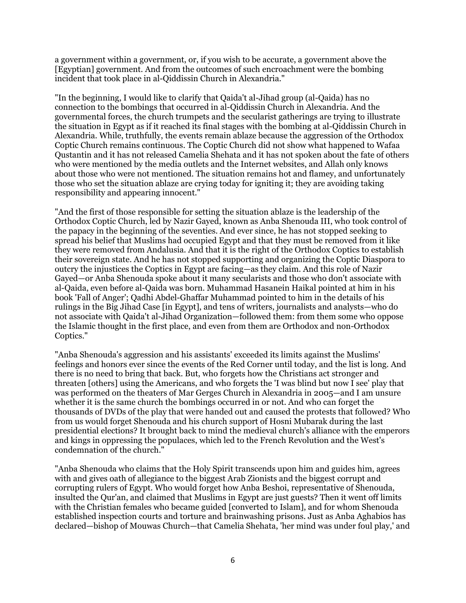a government within a government, or, if you wish to be accurate, a government above the [Egyptian] government. And from the outcomes of such encroachment were the bombing incident that took place in al-Qiddissin Church in Alexandria."

"In the beginning, I would like to clarify that Qaida't al-Jihad group (al-Qaida) has no connection to the bombings that occurred in al-Qiddissin Church in Alexandria. And the governmental forces, the church trumpets and the secularist gatherings are trying to illustrate the situation in Egypt as if it reached its final stages with the bombing at al-Qiddissin Church in Alexandria. While, truthfully, the events remain ablaze because the aggression of the Orthodox Coptic Church remains continuous. The Coptic Church did not show what happened to Wafaa Qustantin and it has not released Camelia Shehata and it has not spoken about the fate of others who were mentioned by the media outlets and the Internet websites, and Allah only knows about those who were not mentioned. The situation remains hot and flamey, and unfortunately those who set the situation ablaze are crying today for igniting it; they are avoiding taking responsibility and appearing innocent."

"And the first of those responsible for setting the situation ablaze is the leadership of the Orthodox Coptic Church, led by Nazir Gayed, known as Anba Shenouda III, who took control of the papacy in the beginning of the seventies. And ever since, he has not stopped seeking to spread his belief that Muslims had occupied Egypt and that they must be removed from it like they were removed from Andalusia. And that it is the right of the Orthodox Coptics to establish their sovereign state. And he has not stopped supporting and organizing the Coptic Diaspora to outcry the injustices the Coptics in Egypt are facing—as they claim. And this role of Nazir Gayed—or Anba Shenouda spoke about it many secularists and those who don't associate with al-Qaida, even before al-Qaida was born. Muhammad Hasanein Haikal pointed at him in his book 'Fall of Anger'; Qadhi Abdel-Ghaffar Muhammad pointed to him in the details of his rulings in the Big Jihad Case [in Egypt], and tens of writers, journalists and analysts—who do not associate with Qaida't al-Jihad Organization—followed them: from them some who oppose the Islamic thought in the first place, and even from them are Orthodox and non-Orthodox Coptics."

"Anba Shenouda's aggression and his assistants' exceeded its limits against the Muslims' feelings and honors ever since the events of the Red Corner until today, and the list is long. And there is no need to bring that back. But, who forgets how the Christians act stronger and threaten [others] using the Americans, and who forgets the 'I was blind but now I see' play that was performed on the theaters of Mar Gerges Church in Alexandria in 2005—and I am unsure whether it is the same church the bombings occurred in or not. And who can forget the thousands of DVDs of the play that were handed out and caused the protests that followed? Who from us would forget Shenouda and his church support of Hosni Mubarak during the last presidential elections? It brought back to mind the medieval church's alliance with the emperors and kings in oppressing the populaces, which led to the French Revolution and the West's condemnation of the church."

"Anba Shenouda who claims that the Holy Spirit transcends upon him and guides him, agrees with and gives oath of allegiance to the biggest Arab Zionists and the biggest corrupt and corrupting rulers of Egypt. Who would forget how Anba Beshoi, representative of Shenouda, insulted the Qur'an, and claimed that Muslims in Egypt are just guests? Then it went off limits with the Christian females who became guided [converted to Islam], and for whom Shenouda established inspection courts and torture and brainwashing prisons. Just as Anba Aghabios has declared—bishop of Mouwas Church—that Camelia Shehata, 'her mind was under foul play,' and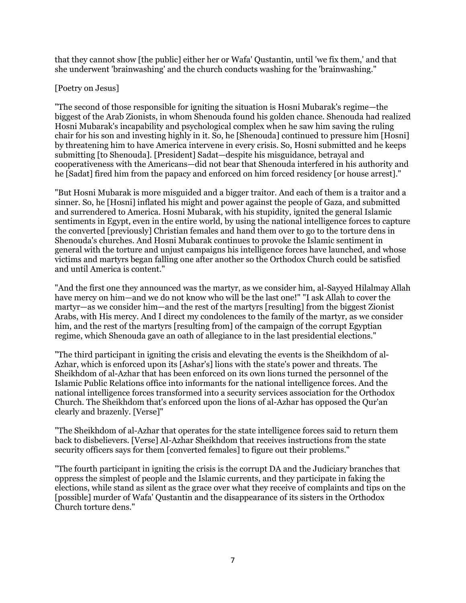that they cannot show [the public] either her or Wafa' Qustantin, until 'we fix them,' and that she underwent 'brainwashing' and the church conducts washing for the 'brainwashing."

## [Poetry on Jesus]

"The second of those responsible for igniting the situation is Hosni Mubarak's regime—the biggest of the Arab Zionists, in whom Shenouda found his golden chance. Shenouda had realized Hosni Mubarak's incapability and psychological complex when he saw him saving the ruling chair for his son and investing highly in it. So, he [Shenouda] continued to pressure him [Hosni] by threatening him to have America intervene in every crisis. So, Hosni submitted and he keeps submitting [to Shenouda]. [President] Sadat—despite his misguidance, betrayal and cooperativeness with the Americans—did not bear that Shenouda interfered in his authority and he [Sadat] fired him from the papacy and enforced on him forced residency [or house arrest]."

"But Hosni Mubarak is more misguided and a bigger traitor. And each of them is a traitor and a sinner. So, he [Hosni] inflated his might and power against the people of Gaza, and submitted and surrendered to America. Hosni Mubarak, with his stupidity, ignited the general Islamic sentiments in Egypt, even in the entire world, by using the national intelligence forces to capture the converted [previously] Christian females and hand them over to go to the torture dens in Shenouda's churches. And Hosni Mubarak continues to provoke the Islamic sentiment in general with the torture and unjust campaigns his intelligence forces have launched, and whose victims and martyrs began falling one after another so the Orthodox Church could be satisfied and until America is content."

"And the first one they announced was the martyr, as we consider him, al-Sayyed Hilalmay Allah have mercy on him—and we do not know who will be the last one!" "I ask Allah to cover the martyr—as we consider him—and the rest of the martyrs [resulting] from the biggest Zionist Arabs, with His mercy. And I direct my condolences to the family of the martyr, as we consider him, and the rest of the martyrs [resulting from] of the campaign of the corrupt Egyptian regime, which Shenouda gave an oath of allegiance to in the last presidential elections."

"The third participant in igniting the crisis and elevating the events is the Sheikhdom of al-Azhar, which is enforced upon its [Ashar's] lions with the state's power and threats. The Sheikhdom of al-Azhar that has been enforced on its own lions turned the personnel of the Islamic Public Relations office into informants for the national intelligence forces. And the national intelligence forces transformed into a security services association for the Orthodox Church. The Sheikhdom that's enforced upon the lions of al-Azhar has opposed the Qur'an clearly and brazenly. [Verse]"

"The Sheikhdom of al-Azhar that operates for the state intelligence forces said to return them back to disbelievers. [Verse] Al-Azhar Sheikhdom that receives instructions from the state security officers says for them [converted females] to figure out their problems."

"The fourth participant in igniting the crisis is the corrupt DA and the Judiciary branches that oppress the simplest of people and the Islamic currents, and they participate in faking the elections, while stand as silent as the grace over what they receive of complaints and tips on the [possible] murder of Wafa' Qustantin and the disappearance of its sisters in the Orthodox Church torture dens."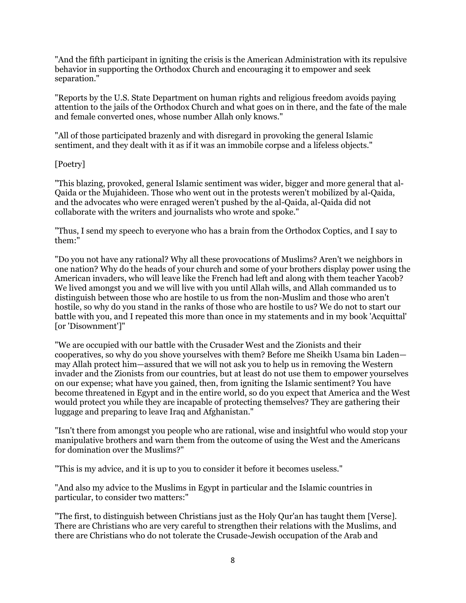"And the fifth participant in igniting the crisis is the American Administration with its repulsive behavior in supporting the Orthodox Church and encouraging it to empower and seek separation."

"Reports by the U.S. State Department on human rights and religious freedom avoids paying attention to the jails of the Orthodox Church and what goes on in there, and the fate of the male and female converted ones, whose number Allah only knows."

"All of those participated brazenly and with disregard in provoking the general Islamic sentiment, and they dealt with it as if it was an immobile corpse and a lifeless objects."

### [Poetry]

"This blazing, provoked, general Islamic sentiment was wider, bigger and more general that al-Qaida or the Mujahideen. Those who went out in the protests weren't mobilized by al-Qaida, and the advocates who were enraged weren't pushed by the al-Qaida, al-Qaida did not collaborate with the writers and journalists who wrote and spoke."

"Thus, I send my speech to everyone who has a brain from the Orthodox Coptics, and I say to them:"

"Do you not have any rational? Why all these provocations of Muslims? Aren't we neighbors in one nation? Why do the heads of your church and some of your brothers display power using the American invaders, who will leave like the French had left and along with them teacher Yacob? We lived amongst you and we will live with you until Allah wills, and Allah commanded us to distinguish between those who are hostile to us from the non-Muslim and those who aren't hostile, so why do you stand in the ranks of those who are hostile to us? We do not to start our battle with you, and I repeated this more than once in my statements and in my book 'Acquittal' [or 'Disownment']"

"We are occupied with our battle with the Crusader West and the Zionists and their cooperatives, so why do you shove yourselves with them? Before me Sheikh Usama bin Laden may Allah protect him—assured that we will not ask you to help us in removing the Western invader and the Zionists from our countries, but at least do not use them to empower yourselves on our expense; what have you gained, then, from igniting the Islamic sentiment? You have become threatened in Egypt and in the entire world, so do you expect that America and the West would protect you while they are incapable of protecting themselves? They are gathering their luggage and preparing to leave Iraq and Afghanistan."

"Isn't there from amongst you people who are rational, wise and insightful who would stop your manipulative brothers and warn them from the outcome of using the West and the Americans for domination over the Muslims?"

"This is my advice, and it is up to you to consider it before it becomes useless."

"And also my advice to the Muslims in Egypt in particular and the Islamic countries in particular, to consider two matters:"

"The first, to distinguish between Christians just as the Holy Qur'an has taught them [Verse]. There are Christians who are very careful to strengthen their relations with the Muslims, and there are Christians who do not tolerate the Crusade-Jewish occupation of the Arab and